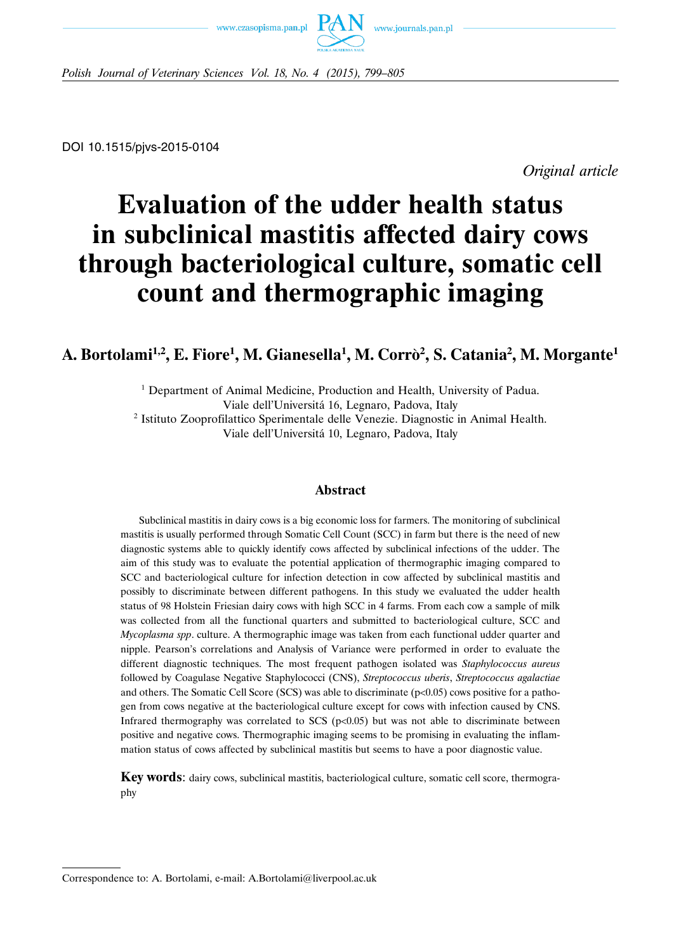



*Polish Journal of Veterinary Sciences Vol. 18, No. 4 (2015), 799–805*

DOI 10.1515/pjvs-2015-0104

*Original article*

# **Evaluation of the udder health status in subclinical mastitis affected dairy cows through bacteriological culture, somatic cell count and thermographic imaging**

## **A. Bortolami1,2, E. Fiore1 , M. Gianesella1 , M. Corro**` **<sup>2</sup> , S. Catania2 , M. Morgante1**

<sup>1</sup> Department of Animal Medicine, Production and Health, University of Padua. Viale dell'Universita´ 16, Legnaro, Padova, Italy <sup>2</sup> Istituto Zooprofilattico Sperimentale delle Venezie. Diagnostic in Animal Health. Viale dell'Universita´ 10, Legnaro, Padova, Italy

### **Abstract**

Subclinical mastitis in dairy cows is a big economic loss for farmers. The monitoring of subclinical mastitis is usually performed through Somatic Cell Count (SCC) in farm but there is the need of new diagnostic systems able to quickly identify cows affected by subclinical infections of the udder. The aim of this study was to evaluate the potential application of thermographic imaging compared to SCC and bacteriological culture for infection detection in cow affected by subclinical mastitis and possibly to discriminate between different pathogens. In this study we evaluated the udder health status of 98 Holstein Friesian dairy cows with high SCC in 4 farms. From each cow a sample of milk was collected from all the functional quarters and submitted to bacteriological culture, SCC and *Mycoplasma spp*. culture. A thermographic image was taken from each functional udder quarter and nipple. Pearson's correlations and Analysis of Variance were performed in order to evaluate the different diagnostic techniques. The most frequent pathogen isolated was *Staphylococcus aureus* followed by Coagulase Negative Staphylococci (CNS), *Streptococcus uberis*, *Streptococcus agalactiae* and others. The Somatic Cell Score (SCS) was able to discriminate  $(p<0.05)$  cows positive for a pathogen from cows negative at the bacteriological culture except for cows with infection caused by CNS. Infrared thermography was correlated to SCS ( $p<0.05$ ) but was not able to discriminate between positive and negative cows. Thermographic imaging seems to be promising in evaluating the inflammation status of cows affected by subclinical mastitis but seems to have a poor diagnostic value.

**Key words**: dairy cows, subclinical mastitis, bacteriological culture, somatic cell score, thermography

Correspondence to: A. Bortolami, e-mail: A.Bortolami@liverpool.ac.uk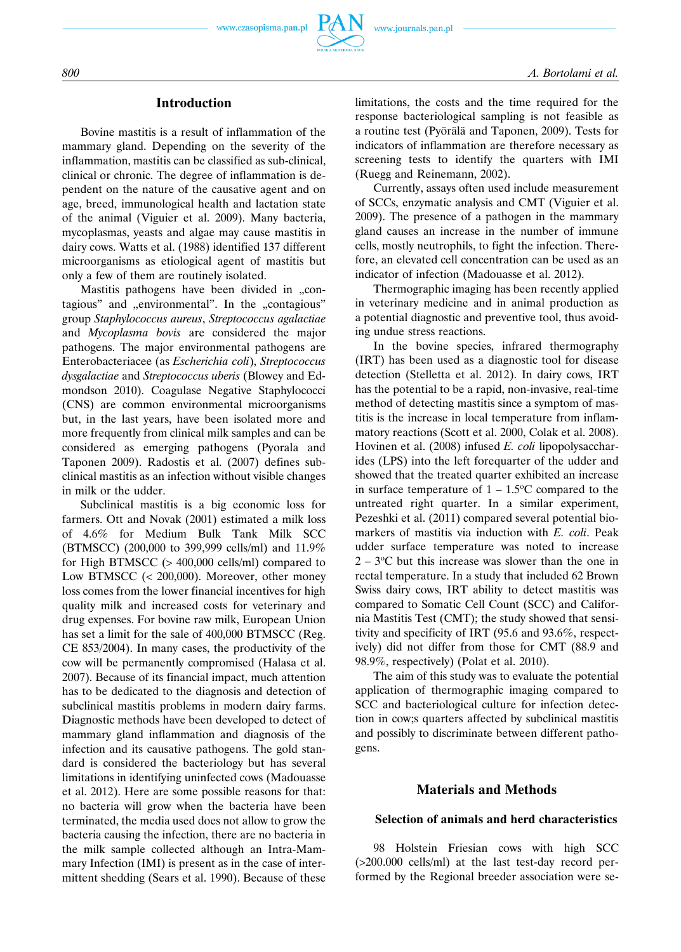

### **Introduction**

Bovine mastitis is a result of inflammation of the mammary gland. Depending on the severity of the inflammation, mastitis can be classified as sub-clinical, clinical or chronic. The degree of inflammation is dependent on the nature of the causative agent and on age, breed, immunological health and lactation state of the animal (Viguier et al. 2009). Many bacteria, mycoplasmas, yeasts and algae may cause mastitis in dairy cows. Watts et al. (1988) identified 137 different microorganisms as etiological agent of mastitis but only a few of them are routinely isolated.

Mastitis pathogens have been divided in "contagious" and "environmental". In the "contagious" group *Staphylococcus aureus*, *Streptococcus agalactiae* and *Mycoplasma bovis* are considered the major pathogens. The major environmental pathogens are Enterobacteriacee (as *Escherichia coli*), *Streptococcus dysgalactiae* and *Streptococcus uberis* (Blowey and Edmondson 2010). Coagulase Negative Staphylococci (CNS) are common environmental microorganisms but, in the last years, have been isolated more and more frequently from clinical milk samples and can be considered as emerging pathogens (Pyorala and Taponen 2009). Radostis et al. (2007) defines subclinical mastitis as an infection without visible changes in milk or the udder.

Subclinical mastitis is a big economic loss for farmers. Ott and Novak (2001) estimated a milk loss of 4.6% for Medium Bulk Tank Milk SCC (BTMSCC) (200,000 to 399,999 cells/ml) and 11.9% for High BTMSCC (> 400,000 cells/ml) compared to Low BTMSCC (< 200,000). Moreover, other money loss comes from the lower financial incentives for high quality milk and increased costs for veterinary and drug expenses. For bovine raw milk, European Union has set a limit for the sale of 400,000 BTMSCC (Reg. CE 853/2004). In many cases, the productivity of the cow will be permanently compromised (Halasa et al. 2007). Because of its financial impact, much attention has to be dedicated to the diagnosis and detection of subclinical mastitis problems in modern dairy farms. Diagnostic methods have been developed to detect of mammary gland inflammation and diagnosis of the infection and its causative pathogens. The gold standard is considered the bacteriology but has several limitations in identifying uninfected cows (Madouasse et al. 2012). Here are some possible reasons for that: no bacteria will grow when the bacteria have been terminated, the media used does not allow to grow the bacteria causing the infection, there are no bacteria in the milk sample collected although an Intra-Mammary Infection (IMI) is present as in the case of intermittent shedding (Sears et al. 1990). Because of these limitations, the costs and the time required for the response bacteriological sampling is not feasible as a routine test (Pyörälä and Taponen, 2009). Tests for indicators of inflammation are therefore necessary as screening tests to identify the quarters with IMI (Ruegg and Reinemann, 2002).

Currently, assays often used include measurement of SCCs, enzymatic analysis and CMT (Viguier et al. 2009). The presence of a pathogen in the mammary gland causes an increase in the number of immune cells, mostly neutrophils, to fight the infection. Therefore, an elevated cell concentration can be used as an indicator of infection (Madouasse et al. 2012).

Thermographic imaging has been recently applied in veterinary medicine and in animal production as a potential diagnostic and preventive tool, thus avoiding undue stress reactions.

In the bovine species, infrared thermography (IRT) has been used as a diagnostic tool for disease detection (Stelletta et al. 2012). In dairy cows, IRT has the potential to be a rapid, non-invasive, real-time method of detecting mastitis since a symptom of mastitis is the increase in local temperature from inflammatory reactions (Scott et al. 2000, Colak et al. 2008). Hovinen et al. (2008) infused *E. coli* lipopolysaccharides (LPS) into the left forequarter of the udder and showed that the treated quarter exhibited an increase in surface temperature of  $1 - 1.5$ °C compared to the untreated right quarter. In a similar experiment, Pezeshki et al. (2011) compared several potential biomarkers of mastitis via induction with *E. coli*. Peak udder surface temperature was noted to increase  $2 - 3$ <sup>o</sup>C but this increase was slower than the one in rectal temperature. In a study that included 62 Brown Swiss dairy cows, IRT ability to detect mastitis was compared to Somatic Cell Count (SCC) and California Mastitis Test (CMT); the study showed that sensitivity and specificity of IRT (95.6 and 93.6%, respectively) did not differ from those for CMT (88.9 and 98.9%, respectively) (Polat et al. 2010).

The aim of this study was to evaluate the potential application of thermographic imaging compared to SCC and bacteriological culture for infection detection in cow;s quarters affected by subclinical mastitis and possibly to discriminate between different pathogens.

#### **Materials and Methods**

#### **Selection of animals and herd characteristics**

98 Holstein Friesian cows with high SCC (>200.000 cells/ml) at the last test-day record performed by the Regional breeder association were se-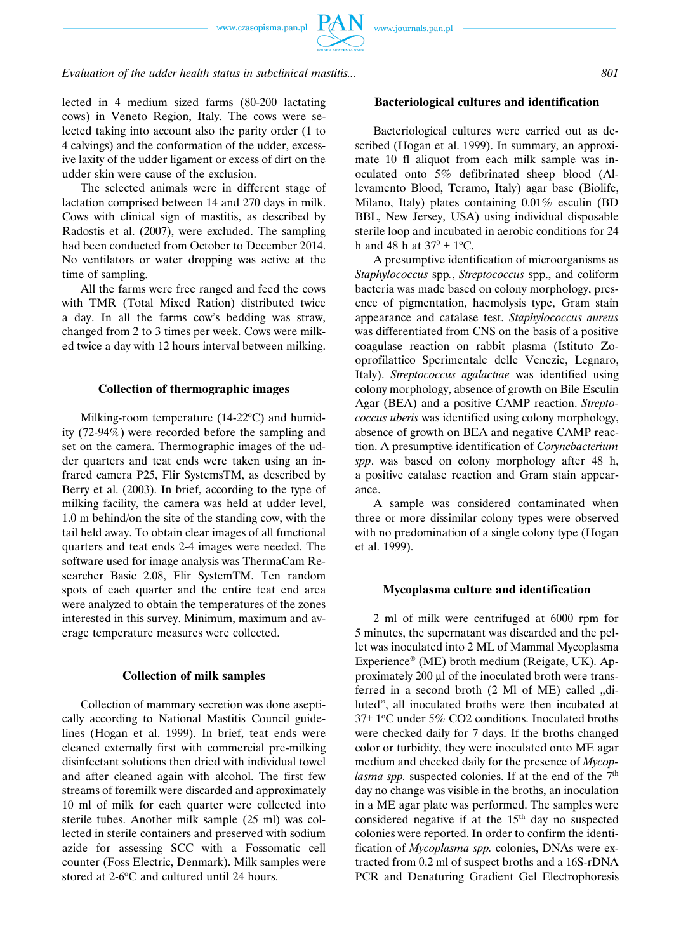#### *Evaluation of the udder health status in subclinical mastitis... 801*

lected in 4 medium sized farms (80-200 lactating cows) in Veneto Region, Italy. The cows were selected taking into account also the parity order (1 to 4 calvings) and the conformation of the udder, excessive laxity of the udder ligament or excess of dirt on the udder skin were cause of the exclusion.

The selected animals were in different stage of lactation comprised between 14 and 270 days in milk. Cows with clinical sign of mastitis, as described by Radostis et al. (2007), were excluded. The sampling had been conducted from October to December 2014. No ventilators or water dropping was active at the time of sampling.

All the farms were free ranged and feed the cows with TMR (Total Mixed Ration) distributed twice a day. In all the farms cow's bedding was straw, changed from 2 to 3 times per week. Cows were milked twice a day with 12 hours interval between milking.

#### **Collection of thermographic images**

Milking-room temperature  $(14-22$ <sup>o</sup>C) and humidity (72-94%) were recorded before the sampling and set on the camera. Thermographic images of the udder quarters and teat ends were taken using an infrared camera P25, Flir SystemsTM, as described by Berry et al. (2003). In brief, according to the type of milking facility, the camera was held at udder level, 1.0 m behind/on the site of the standing cow, with the tail held away. To obtain clear images of all functional quarters and teat ends 2-4 images were needed. The software used for image analysis was ThermaCam Researcher Basic 2.08, Flir SystemTM. Ten random spots of each quarter and the entire teat end area were analyzed to obtain the temperatures of the zones interested in this survey. Minimum, maximum and average temperature measures were collected.

#### **Collection of milk samples**

Collection of mammary secretion was done aseptically according to National Mastitis Council guidelines (Hogan et al. 1999). In brief, teat ends were cleaned externally first with commercial pre-milking disinfectant solutions then dried with individual towel and after cleaned again with alcohol. The first few streams of foremilk were discarded and approximately 10 ml of milk for each quarter were collected into sterile tubes. Another milk sample (25 ml) was collected in sterile containers and preserved with sodium azide for assessing SCC with a Fossomatic cell counter (Foss Electric, Denmark). Milk samples were stored at 2-6°C and cultured until 24 hours.

#### **Bacteriological cultures and identification**

Bacteriological cultures were carried out as described (Hogan et al. 1999). In summary, an approximate 10 fl aliquot from each milk sample was inoculated onto 5% defibrinated sheep blood (Allevamento Blood, Teramo, Italy) agar base (Biolife, Milano, Italy) plates containing 0.01% esculin (BD BBL, New Jersey, USA) using individual disposable sterile loop and incubated in aerobic conditions for 24 h and 48 h at  $37^0 \pm 1^{\circ}$ C.

A presumptive identification of microorganisms as *Staphylococcus* spp*.*, *Streptococcus* spp., and coliform bacteria was made based on colony morphology, presence of pigmentation, haemolysis type, Gram stain appearance and catalase test. *Staphylococcus aureus* was differentiated from CNS on the basis of a positive coagulase reaction on rabbit plasma (Istituto Zooprofilattico Sperimentale delle Venezie, Legnaro, Italy). *Streptococcus agalactiae* was identified using colony morphology, absence of growth on Bile Esculin Agar (BEA) and a positive CAMP reaction. *Streptococcus uberis* was identified using colony morphology, absence of growth on BEA and negative CAMP reaction. A presumptive identification of *Corynebacterium spp*. was based on colony morphology after 48 h, a positive catalase reaction and Gram stain appearance.

A sample was considered contaminated when three or more dissimilar colony types were observed with no predomination of a single colony type (Hogan et al. 1999).

#### **Mycoplasma culture and identification**

2 ml of milk were centrifuged at 6000 rpm for 5 minutes, the supernatant was discarded and the pellet was inoculated into 2 ML of Mammal Mycoplasma Experience® (ME) broth medium (Reigate, UK). Approximately 200 μl of the inoculated broth were transferred in a second broth  $(2 \text{ MI of ME})$  called  $,$ diluted", all inoculated broths were then incubated at  $37\pm1$ °C under 5% CO2 conditions. Inoculated broths were checked daily for 7 days. If the broths changed color or turbidity, they were inoculated onto ME agar medium and checked daily for the presence of *Mycoplasma spp.* suspected colonies. If at the end of the 7<sup>th</sup> day no change was visible in the broths, an inoculation in a ME agar plate was performed. The samples were considered negative if at the  $15<sup>th</sup>$  day no suspected colonies were reported. In order to confirm the identification of *Mycoplasma spp.* colonies, DNAs were extracted from 0.2 ml of suspect broths and a 16S-rDNA PCR and Denaturing Gradient Gel Electrophoresis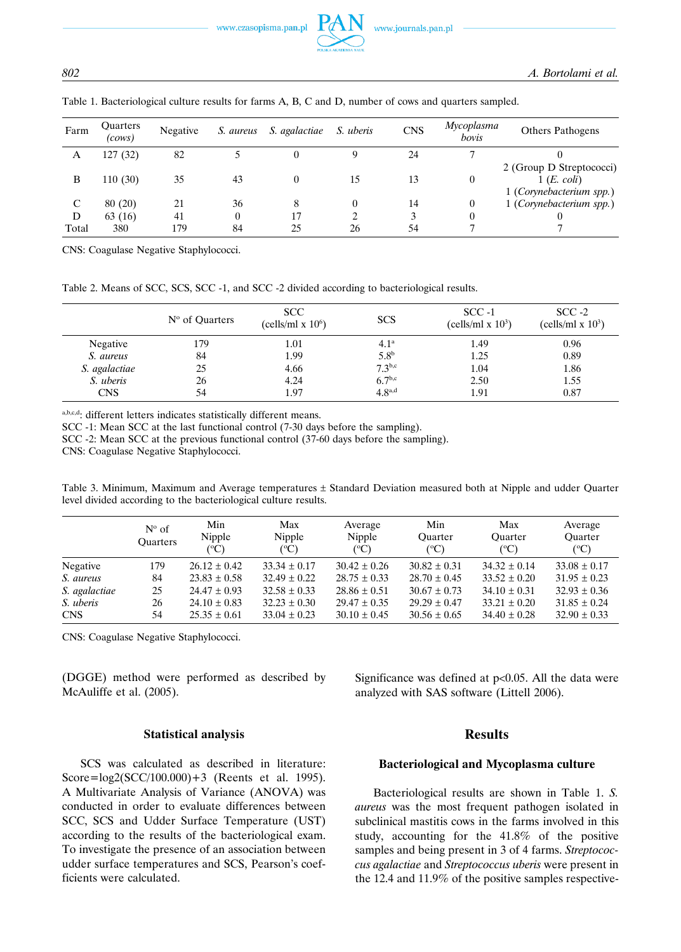*802 A. Bortolami et al.*

| Farm  | <b>Ouarters</b><br>(cows) | Negative | S. aureus | S. agalactiae | S. uberis | <b>CNS</b> | Mycoplasma<br>bovis | <b>Others Pathogens</b>                                            |
|-------|---------------------------|----------|-----------|---------------|-----------|------------|---------------------|--------------------------------------------------------------------|
| A     | 127 (32)                  | 82       |           |               |           | 24         |                     |                                                                    |
| B     | 110(30)                   | 35       | 43        |               | 15        | 13         | $\theta$            | 2 (Group D Streptococci)<br>1(E. coli)<br>1 (Corynebacterium spp.) |
|       | 80(20)                    | 21       | 36        |               | $\theta$  | 14         | $\theta$            | 1 (Corynebacterium spp.)                                           |
| D     | 63 (16)                   | 41       |           | 17            |           |            |                     |                                                                    |
| Total | 380                       | 179      | 84        | 25            | 26        | 54         |                     |                                                                    |

Table 1. Bacteriological culture results for farms A, B, C and D, number of cows and quarters sampled.

CNS: Coagulase Negative Staphylococci.

Table 2. Means of SCC, SCS, SCC -1, and SCC -2 divided according to bacteriological results.

|               | $No$ of Quarters | <b>SCC</b><br>(cells/ml x $106$ ) | <b>SCS</b>         | $SCC -1$<br>(cells/ml x $103$ ) | $SCC -2$<br>(cells/ml x $103$ ) |
|---------------|------------------|-----------------------------------|--------------------|---------------------------------|---------------------------------|
| Negative      | 179              | 1.01                              | 4.1 <sup>a</sup>   | 1.49                            | 0.96                            |
| S. aureus     | 84               | 1.99                              | 5.8 <sup>b</sup>   | 1.25                            | 0.89                            |
| S. agalactiae | 25               | 4.66                              | $7.3^{b,c}$        | 1.04                            | 1.86                            |
| S. uberis     | 26               | 4.24                              | 6.7 <sup>b,c</sup> | 2.50                            | 1.55                            |
| <b>CNS</b>    | 54               | 1.97                              | 4.8 <sup>a,d</sup> | 1.91                            | 0.87                            |

a,b,c,d: different letters indicates statistically different means.

SCC -1: Mean SCC at the last functional control (7-30 days before the sampling).

SCC -2: Mean SCC at the previous functional control (37-60 days before the sampling).

CNS: Coagulase Negative Staphylococci.

Table 3. Minimum, Maximum and Average temperatures ± Standard Deviation measured both at Nipple and udder Quarter level divided according to the bacteriological culture results.

|               | $N^{\circ}$ of<br><b>Ouarters</b> | Min<br>Nipple<br>(°C) | Max<br>Nipple<br>$({}^{\circ}C)$ | Average<br>Nipple<br>(°C) | Min<br><b>Ouarter</b><br>$(^{\circ}C)$ | Max<br>Ouarter<br>$(^{\circ}C)$ | Average<br><b>Ouarter</b><br>$(^{\circ}C)$ |
|---------------|-----------------------------------|-----------------------|----------------------------------|---------------------------|----------------------------------------|---------------------------------|--------------------------------------------|
| Negative      | 179                               | $26.12 \pm 0.42$      | $33.34 \pm 0.17$                 | $30.42 \pm 0.26$          | $30.82 \pm 0.31$                       | $34.32 \pm 0.14$                | $33.08 \pm 0.17$                           |
| S. aureus     | 84                                | $23.83 \pm 0.58$      | $32.49 \pm 0.22$                 | $28.75 \pm 0.33$          | $28.70 \pm 0.45$                       | $33.52 \pm 0.20$                | $31.95 \pm 0.23$                           |
| S. agalactiae | 25                                | $24.47 \pm 0.93$      | $32.58 \pm 0.33$                 | $28.86 \pm 0.51$          | $30.67 \pm 0.73$                       | $34.10 \pm 0.31$                | $32.93 \pm 0.36$                           |
| S. uberis     | 26                                | $24.10 \pm 0.83$      | $32.23 \pm 0.30$                 | $29.47 \pm 0.35$          | $29.29 \pm 0.47$                       | $33.21 \pm 0.20$                | $31.85 \pm 0.24$                           |
| <b>CNS</b>    | 54                                | $25.35 \pm 0.61$      | $33.04 \pm 0.23$                 | $30.10 \pm 0.45$          | $30.56 \pm 0.65$                       | $34.40 \pm 0.28$                | $32.90 \pm 0.33$                           |

CNS: Coagulase Negative Staphylococci.

(DGGE) method were performed as described by McAuliffe et al. (2005).

Significance was defined at  $p<0.05$ . All the data were analyzed with SAS software (Littell 2006).

#### **Statistical analysis**

SCS was calculated as described in literature: Score=log2(SCC/100.000)+3 (Reents et al. 1995). A Multivariate Analysis of Variance (ANOVA) was conducted in order to evaluate differences between SCC, SCS and Udder Surface Temperature (UST) according to the results of the bacteriological exam. To investigate the presence of an association between udder surface temperatures and SCS, Pearson's coefficients were calculated.

#### **Results**

#### **Bacteriological and Mycoplasma culture**

Bacteriological results are shown in Table 1. *S. aureus* was the most frequent pathogen isolated in subclinical mastitis cows in the farms involved in this study, accounting for the 41.8% of the positive samples and being present in 3 of 4 farms. *Streptococcus agalactiae* and *Streptococcus uberis* were present in the 12.4 and 11.9% of the positive samples respective-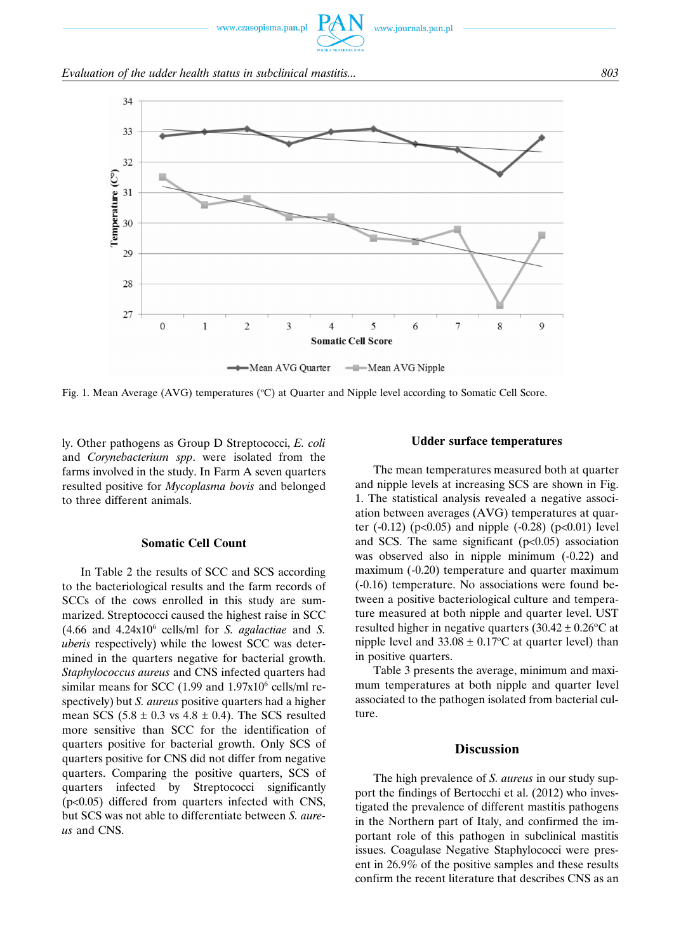

Fig. 1. Mean Average (AVG) temperatures (°C) at Quarter and Nipple level according to Somatic Cell Score.

ly. Other pathogens as Group D Streptococci, *E. coli* and *Corynebacterium spp*. were isolated from the farms involved in the study. In Farm A seven quarters resulted positive for *Mycoplasma bovis* and belonged to three different animals.

#### **Somatic Cell Count**

In Table 2 the results of SCC and SCS according to the bacteriological results and the farm records of SCCs of the cows enrolled in this study are summarized. Streptococci caused the highest raise in SCC  $(4.66$  and  $4.24x10<sup>6</sup>$  cells/ml for *S. agalactiae* and *S. uberis* respectively) while the lowest SCC was determined in the quarters negative for bacterial growth. *Staphylococcus aureus* and CNS infected quarters had similar means for SCC  $(1.99 \text{ and } 1.97 \text{x}10^6 \text{ cells/ml re-}$ spectively) but *S. aureus* positive quarters had a higher mean SCS  $(5.8 \pm 0.3 \text{ vs } 4.8 \pm 0.4)$ . The SCS resulted more sensitive than SCC for the identification of quarters positive for bacterial growth. Only SCS of quarters positive for CNS did not differ from negative quarters. Comparing the positive quarters, SCS of quarters infected by Streptococci significantly (p<0.05) differed from quarters infected with CNS, but SCS was not able to differentiate between *S. aureus* and CNS.

#### **Udder surface temperatures**

The mean temperatures measured both at quarter and nipple levels at increasing SCS are shown in Fig. 1. The statistical analysis revealed a negative association between averages (AVG) temperatures at quarter  $(-0.12)$  (p<0.05) and nipple  $(-0.28)$  (p<0.01) level and SCS. The same significant  $(p<0.05)$  association was observed also in nipple minimum  $(-0.22)$  and maximum (-0.20) temperature and quarter maximum (-0.16) temperature. No associations were found between a positive bacteriological culture and temperature measured at both nipple and quarter level. UST resulted higher in negative quarters  $(30.42 \pm 0.26$ °C at nipple level and  $33.08 \pm 0.17$ °C at quarter level) than in positive quarters.

Table 3 presents the average, minimum and maximum temperatures at both nipple and quarter level associated to the pathogen isolated from bacterial culture.

#### **Discussion**

The high prevalence of *S. aureus* in our study support the findings of Bertocchi et al. (2012) who investigated the prevalence of different mastitis pathogens in the Northern part of Italy, and confirmed the important role of this pathogen in subclinical mastitis issues. Coagulase Negative Staphylococci were present in 26.9% of the positive samples and these results confirm the recent literature that describes CNS as an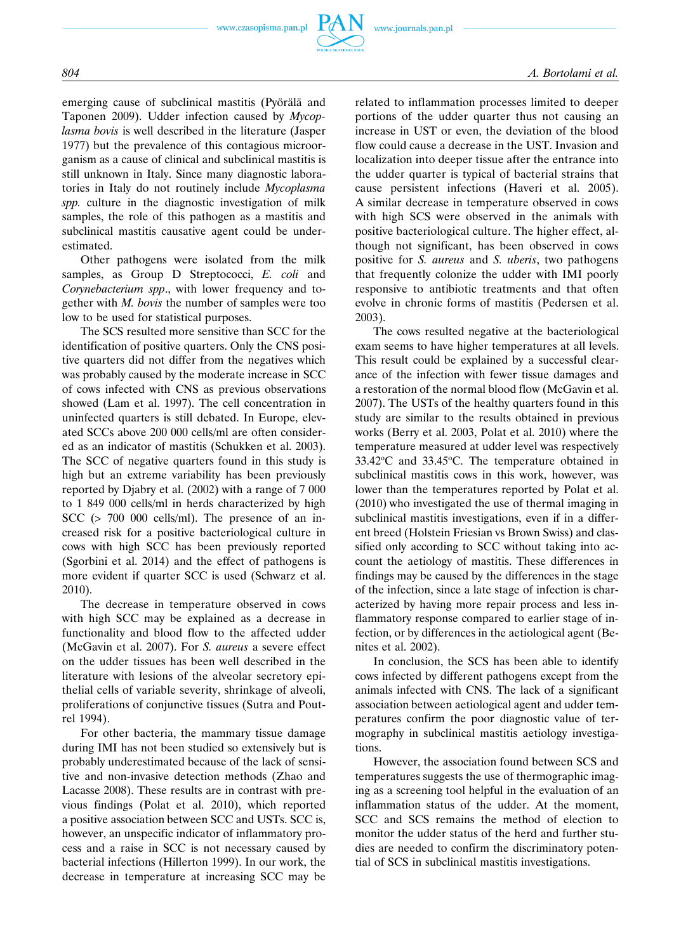

emerging cause of subclinical mastitis (Pyörälä and Taponen 2009). Udder infection caused by *Mycoplasma bovis* is well described in the literature (Jasper 1977) but the prevalence of this contagious microorganism as a cause of clinical and subclinical mastitis is still unknown in Italy. Since many diagnostic laboratories in Italy do not routinely include *Mycoplasma spp.* culture in the diagnostic investigation of milk samples, the role of this pathogen as a mastitis and subclinical mastitis causative agent could be underestimated.

Other pathogens were isolated from the milk samples, as Group D Streptococci, *E. coli* and *Corynebacterium spp*., with lower frequency and together with *M. bovis* the number of samples were too low to be used for statistical purposes.

The SCS resulted more sensitive than SCC for the identification of positive quarters. Only the CNS positive quarters did not differ from the negatives which was probably caused by the moderate increase in SCC of cows infected with CNS as previous observations showed (Lam et al. 1997). The cell concentration in uninfected quarters is still debated. In Europe, elevated SCCs above 200 000 cells/ml are often considered as an indicator of mastitis (Schukken et al. 2003). The SCC of negative quarters found in this study is high but an extreme variability has been previously reported by Djabry et al. (2002) with a range of 7 000 to 1 849 000 cells/ml in herds characterized by high SCC (> 700 000 cells/ml). The presence of an increased risk for a positive bacteriological culture in cows with high SCC has been previously reported (Sgorbini et al. 2014) and the effect of pathogens is more evident if quarter SCC is used (Schwarz et al. 2010).

The decrease in temperature observed in cows with high SCC may be explained as a decrease in functionality and blood flow to the affected udder (McGavin et al. 2007). For *S. aureus* a severe effect on the udder tissues has been well described in the literature with lesions of the alveolar secretory epithelial cells of variable severity, shrinkage of alveoli, proliferations of conjunctive tissues (Sutra and Poutrel 1994).

For other bacteria, the mammary tissue damage during IMI has not been studied so extensively but is probably underestimated because of the lack of sensitive and non-invasive detection methods (Zhao and Lacasse 2008). These results are in contrast with previous findings (Polat et al. 2010), which reported a positive association between SCC and USTs. SCC is, however, an unspecific indicator of inflammatory process and a raise in SCC is not necessary caused by bacterial infections (Hillerton 1999). In our work, the decrease in temperature at increasing SCC may be related to inflammation processes limited to deeper portions of the udder quarter thus not causing an increase in UST or even, the deviation of the blood flow could cause a decrease in the UST. Invasion and localization into deeper tissue after the entrance into the udder quarter is typical of bacterial strains that cause persistent infections (Haveri et al. 2005). A similar decrease in temperature observed in cows with high SCS were observed in the animals with positive bacteriological culture. The higher effect, although not significant, has been observed in cows positive for *S. aureus* and *S. uberis*, two pathogens that frequently colonize the udder with IMI poorly responsive to antibiotic treatments and that often evolve in chronic forms of mastitis (Pedersen et al. 2003).

The cows resulted negative at the bacteriological exam seems to have higher temperatures at all levels. This result could be explained by a successful clearance of the infection with fewer tissue damages and a restoration of the normal blood flow (McGavin et al. 2007). The USTs of the healthy quarters found in this study are similar to the results obtained in previous works (Berry et al. 2003, Polat et al. 2010) where the temperature measured at udder level was respectively  $33.42^{\circ}$ C and  $33.45^{\circ}$ C. The temperature obtained in subclinical mastitis cows in this work, however, was lower than the temperatures reported by Polat et al. (2010) who investigated the use of thermal imaging in subclinical mastitis investigations, even if in a different breed (Holstein Friesian vs Brown Swiss) and classified only according to SCC without taking into account the aetiology of mastitis. These differences in findings may be caused by the differences in the stage of the infection, since a late stage of infection is characterized by having more repair process and less inflammatory response compared to earlier stage of infection, or by differences in the aetiological agent (Benites et al. 2002).

In conclusion, the SCS has been able to identify cows infected by different pathogens except from the animals infected with CNS. The lack of a significant association between aetiological agent and udder temperatures confirm the poor diagnostic value of termography in subclinical mastitis aetiology investigations.

However, the association found between SCS and temperatures suggests the use of thermographic imaging as a screening tool helpful in the evaluation of an inflammation status of the udder. At the moment, SCC and SCS remains the method of election to monitor the udder status of the herd and further studies are needed to confirm the discriminatory potential of SCS in subclinical mastitis investigations.